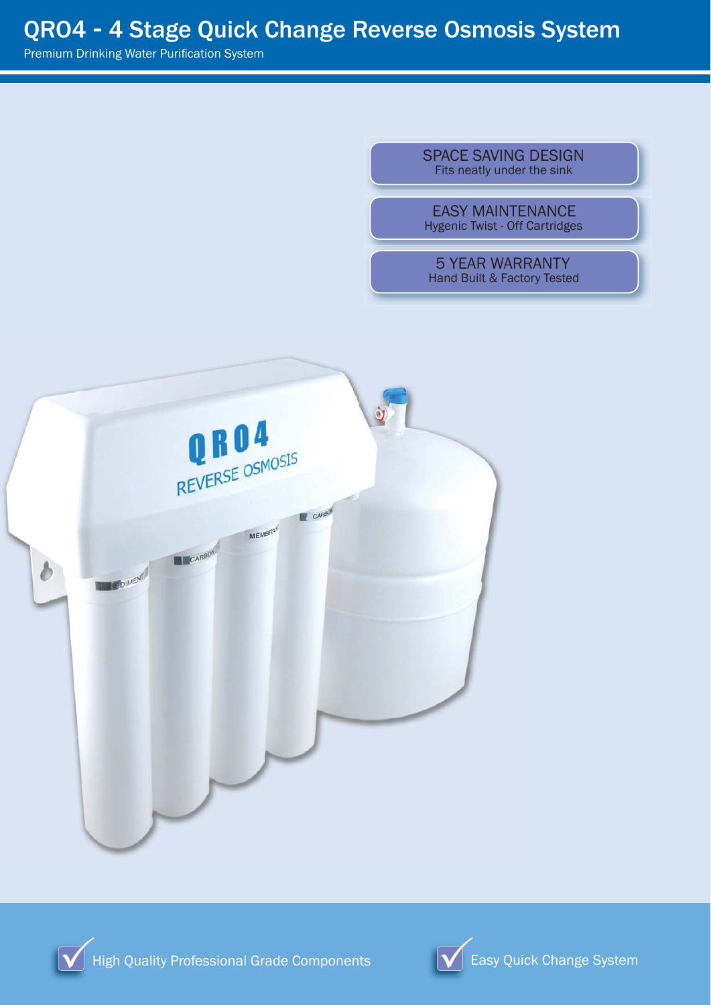Premium Drinking Water Purification System

SPACE SAVING DESIGN Fits neatly under the sink

EASY MAINTENANCE Hygenic Twist - Off Cartridges

5 YEAR WARRANTY Hand Built & Factory Tested